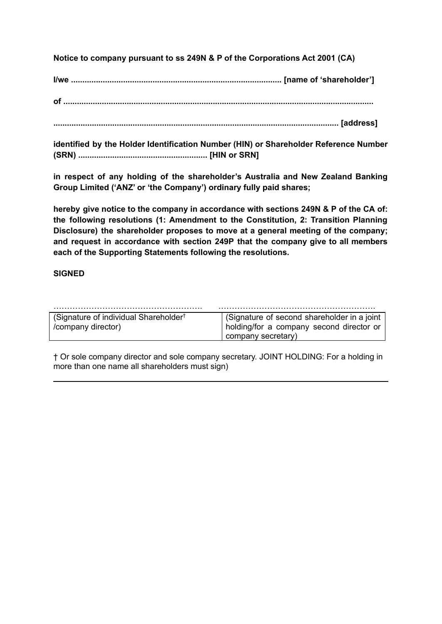**Notice to company pursuant to ss 249N & P of the Corporations Act 2001 (CA)**

**I/we ............................................................................................. [name of 'shareholder']**

**of .........................................................................................................................................**

**.............................................................................................................................. [address]**

**identified by the Holder Identification Number (HIN) or Shareholder Reference Number (SRN) ......................................................... [HIN or SRN]**

**in respect of any holding of the shareholder's Australia and New Zealand Banking Group Limited ('ANZ' or 'the Company') ordinary fully paid shares;**

**hereby give notice to the company in accordance with sections 249N & P of the CA of: the following resolutions (1: Amendment to the Constitution, 2: Transition Planning Disclosure) the shareholder proposes to move at a general meeting of the company; and request in accordance with section 249P that the company give to all members each of the Supporting Statements following the resolutions.**

# **SIGNED**

| (Signature of individual Shareholder <sup>†</sup> | (Signature of second shareholder in a joint |
|---------------------------------------------------|---------------------------------------------|
| /company director)                                | holding/for a company second director or    |
|                                                   | company secretary)                          |

† Or sole company director and sole company secretary. JOINT HOLDING: For a holding in more than one name all shareholders must sign)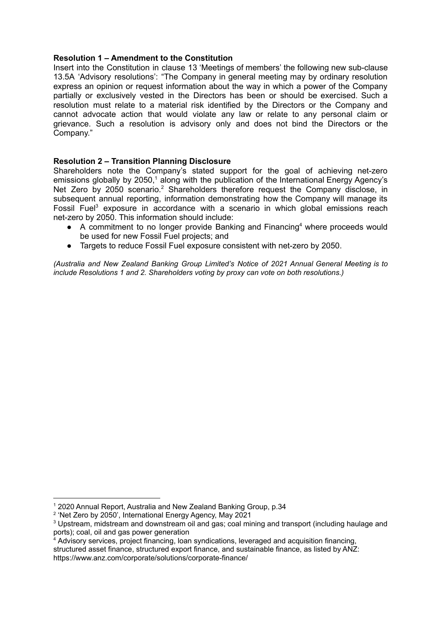### **Resolution 1 – Amendment to the Constitution**

Insert into the Constitution in clause 13 'Meetings of members' the following new sub-clause 13.5A 'Advisory resolutions': "The Company in general meeting may by ordinary resolution express an opinion or request information about the way in which a power of the Company partially or exclusively vested in the Directors has been or should be exercised. Such a resolution must relate to a material risk identified by the Directors or the Company and cannot advocate action that would violate any law or relate to any personal claim or grievance. Such a resolution is advisory only and does not bind the Directors or the Company."

## **Resolution 2 – Transition Planning Disclosure**

Shareholders note the Company's stated support for the goal of achieving net-zero emissions globally by 2050,<sup>1</sup> along with the publication of the International Energy Agency's Net Zero by 2050 scenario.<sup>2</sup> Shareholders therefore request the Company disclose, in subsequent annual reporting, information demonstrating how the Company will manage its Fossil Fuel<sup>3</sup> exposure in accordance with a scenario in which global emissions reach net-zero by 2050. This information should include:

- A commitment to no longer provide Banking and Financing<sup>4</sup> where proceeds would be used for new Fossil Fuel projects; and
- Targets to reduce Fossil Fuel exposure consistent with net-zero by 2050.

*(Australia and New Zealand Banking Group Limited's Notice of 2021 Annual General Meeting is to include Resolutions 1 and 2. Shareholders voting by proxy can vote on both resolutions.)*

<sup>1</sup> 2020 Annual Report, Australia and New Zealand Banking Group, p.34

<sup>2</sup> 'Net Zero by 2050', International Energy Agency, May 2021

<sup>3</sup> Upstream, midstream and downstream oil and gas; coal mining and transport (including haulage and ports); coal, oil and gas power generation

 $4$  Advisory services, project financing, loan syndications, leveraged and acquisition financing. structured asset finance, structured export finance, and sustainable finance, as listed by ANZ: https://www.anz.com/corporate/solutions/corporate-finance/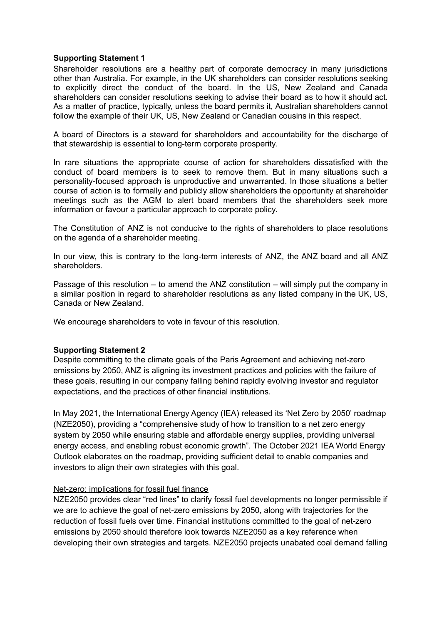### **Supporting Statement 1**

Shareholder resolutions are a healthy part of corporate democracy in many jurisdictions other than Australia. For example, in the UK shareholders can consider resolutions seeking to explicitly direct the conduct of the board. In the US, New Zealand and Canada shareholders can consider resolutions seeking to advise their board as to how it should act. As a matter of practice, typically, unless the board permits it, Australian shareholders cannot follow the example of their UK, US, New Zealand or Canadian cousins in this respect.

A board of Directors is a steward for shareholders and accountability for the discharge of that stewardship is essential to long-term corporate prosperity.

In rare situations the appropriate course of action for shareholders dissatisfied with the conduct of board members is to seek to remove them. But in many situations such a personality-focused approach is unproductive and unwarranted. In those situations a better course of action is to formally and publicly allow shareholders the opportunity at shareholder meetings such as the AGM to alert board members that the shareholders seek more information or favour a particular approach to corporate policy.

The Constitution of ANZ is not conducive to the rights of shareholders to place resolutions on the agenda of a shareholder meeting.

In our view, this is contrary to the long-term interests of ANZ, the ANZ board and all ANZ shareholders.

Passage of this resolution – to amend the ANZ constitution – will simply put the company in a similar position in regard to shareholder resolutions as any listed company in the UK, US, Canada or New Zealand.

We encourage shareholders to vote in favour of this resolution.

#### **Supporting Statement 2**

Despite committing to the climate goals of the Paris Agreement and achieving net-zero emissions by 2050, ANZ is aligning its investment practices and policies with the failure of these goals, resulting in our company falling behind rapidly evolving investor and regulator expectations, and the practices of other financial institutions.

In May 2021, the International Energy Agency (IEA) released its 'Net Zero by 2050' roadmap (NZE2050), providing a "comprehensive study of how to transition to a net zero energy system by 2050 while ensuring stable and affordable energy supplies, providing universal energy access, and enabling robust economic growth". The October 2021 IEA World Energy Outlook elaborates on the roadmap, providing sufficient detail to enable companies and investors to align their own strategies with this goal.

#### Net-zero: implications for fossil fuel finance

NZE2050 provides clear "red lines" to clarify fossil fuel developments no longer permissible if we are to achieve the goal of net-zero emissions by 2050, along with trajectories for the reduction of fossil fuels over time. Financial institutions committed to the goal of net-zero emissions by 2050 should therefore look towards NZE2050 as a key reference when developing their own strategies and targets. NZE2050 projects unabated coal demand falling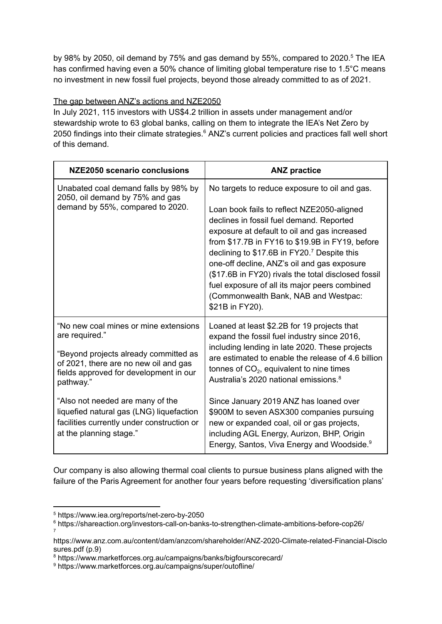by 98% by 2050, oil demand by 75% and gas demand by 55%, compared to 2020.<sup>5</sup> The IEA has confirmed having even a 50% chance of limiting global temperature rise to 1.5°C means no investment in new fossil fuel projects, beyond those already committed to as of 2021.

# The gap between ANZ's actions and NZE2050

In July 2021, 115 investors with US\$4.2 trillion in assets under management and/or stewardship wrote to 63 global banks, calling on them to integrate the IEA's Net Zero by 2050 findings into their climate strategies.<sup>6</sup> ANZ's current policies and practices fall well short of this demand.

| NZE2050 scenario conclusions                                                                                                                                                                                                                                                                                                                              | <b>ANZ practice</b>                                                                                                                                                                                                                                                                                                                                                                                                                                                                                                                                |
|-----------------------------------------------------------------------------------------------------------------------------------------------------------------------------------------------------------------------------------------------------------------------------------------------------------------------------------------------------------|----------------------------------------------------------------------------------------------------------------------------------------------------------------------------------------------------------------------------------------------------------------------------------------------------------------------------------------------------------------------------------------------------------------------------------------------------------------------------------------------------------------------------------------------------|
| Unabated coal demand falls by 98% by<br>2050, oil demand by 75% and gas<br>demand by 55%, compared to 2020.                                                                                                                                                                                                                                               | No targets to reduce exposure to oil and gas.<br>Loan book fails to reflect NZE2050-aligned<br>declines in fossil fuel demand. Reported<br>exposure at default to oil and gas increased<br>from \$17.7B in FY16 to \$19.9B in FY19, before<br>declining to \$17.6B in FY20. <sup>7</sup> Despite this<br>one-off decline, ANZ's oil and gas exposure<br>(\$17.6B in FY20) rivals the total disclosed fossil<br>fuel exposure of all its major peers combined<br>(Commonwealth Bank, NAB and Westpac:<br>\$21B in FY20).                            |
| "No new coal mines or mine extensions<br>are required."<br>"Beyond projects already committed as<br>of 2021, there are no new oil and gas<br>fields approved for development in our<br>pathway."<br>"Also not needed are many of the<br>liquefied natural gas (LNG) liquefaction<br>facilities currently under construction or<br>at the planning stage." | Loaned at least \$2.2B for 19 projects that<br>expand the fossil fuel industry since 2016,<br>including lending in late 2020. These projects<br>are estimated to enable the release of 4.6 billion<br>tonnes of $CO2$ , equivalent to nine times<br>Australia's 2020 national emissions. <sup>8</sup><br>Since January 2019 ANZ has loaned over<br>\$900M to seven ASX300 companies pursuing<br>new or expanded coal, oil or gas projects,<br>including AGL Energy, Aurizon, BHP, Origin<br>Energy, Santos, Viva Energy and Woodside. <sup>9</sup> |

Our company is also allowing thermal coal clients to pursue business plans aligned with the failure of the Paris Agreement for another four years before requesting 'diversification plans'

<sup>5</sup> https://www.iea.org/reports/net-zero-by-2050

<sup>7</sup> <sup>6</sup> https://shareaction.org/investors-call-on-banks-to-strengthen-climate-ambitions-before-cop26/

https://www.anz.com.au/content/dam/anzcom/shareholder/ANZ-2020-Climate-related-Financial-Disclo sures.pdf (p.9)

<sup>8</sup> https://www.marketforces.org.au/campaigns/banks/bigfourscorecard/

<sup>9</sup> https://www.marketforces.org.au/campaigns/super/outofline/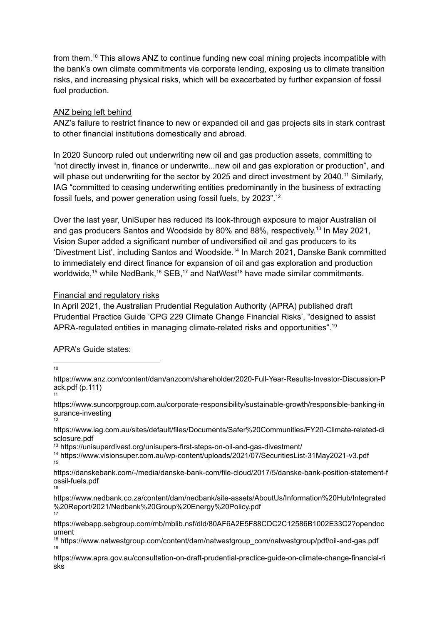from them.<sup>10</sup> This allows ANZ to continue funding new coal mining projects incompatible with the bank's own climate commitments via corporate lending, exposing us to climate transition risks, and increasing physical risks, which will be exacerbated by further expansion of fossil fuel production.

## ANZ being left behind

ANZ's failure to restrict finance to new or expanded oil and gas projects sits in stark contrast to other financial institutions domestically and abroad.

In 2020 Suncorp ruled out underwriting new oil and gas production assets, committing to "not directly invest in, finance or underwrite...new oil and gas exploration or production", and will phase out underwriting for the sector by 2025 and direct investment by 2040.<sup>11</sup> Similarly, IAG "committed to ceasing underwriting entities predominantly in the business of extracting fossil fuels, and power generation using fossil fuels, by 2023". 12

Over the last year, UniSuper has reduced its look-through exposure to major Australian oil and gas producers Santos and Woodside by 80% and 88%, respectively.<sup>13</sup> In May 2021, Vision Super added a significant number of undiversified oil and gas producers to its 'Divestment List', including Santos and Woodside. 14 In March 2021, Danske Bank committed to immediately end direct finance for expansion of oil and gas exploration and production worldwide,<sup>15</sup> while NedBank,<sup>16</sup> SEB,<sup>17</sup> and NatWest<sup>18</sup> have made similar commitments.

## Financial and regulatory risks

In April 2021, the Australian Prudential Regulation Authority (APRA) published draft Prudential Practice Guide 'CPG 229 Climate Change Financial Risks', "designed to assist APRA-regulated entities in managing climate-related risks and opportunities".<sup>19</sup>

# APRA's Guide states:

10

12 https://www.suncorpgroup.com.au/corporate-responsibility/sustainable-growth/responsible-banking-in surance-investing

https://www.iag.com.au/sites/default/files/Documents/Safer%20Communities/FY20-Climate-related-di sclosure.pdf

<sup>13</sup> https://unisuperdivest.org/unisupers-first-steps-on-oil-and-gas-divestment/

15 <sup>14</sup> https://www.visionsuper.com.au/wp-content/uploads/2021/07/SecuritiesList-31May2021-v3.pdf

16 https://danskebank.com/-/media/danske-bank-com/file-cloud/2017/5/danske-bank-position-statement-f ossil-fuels.pdf

17 https://www.nedbank.co.za/content/dam/nedbank/site-assets/AboutUs/Information%20Hub/Integrated %20Report/2021/Nedbank%20Group%20Energy%20Policy.pdf

<sup>11</sup> https://www.anz.com/content/dam/anzcom/shareholder/2020-Full-Year-Results-Investor-Discussion-P ack.pdf (p.111)

https://webapp.sebgroup.com/mb/mblib.nsf/dld/80AF6A2E5F88CDC2C12586B1002E33C2?opendoc ument

<sup>19</sup>  $18$  https://www.natwestgroup.com/content/dam/natwestgroup\_com/natwestgroup/pdf/oil-and-gas.pdf

https://www.apra.gov.au/consultation-on-draft-prudential-practice-guide-on-climate-change-financial-ri sks